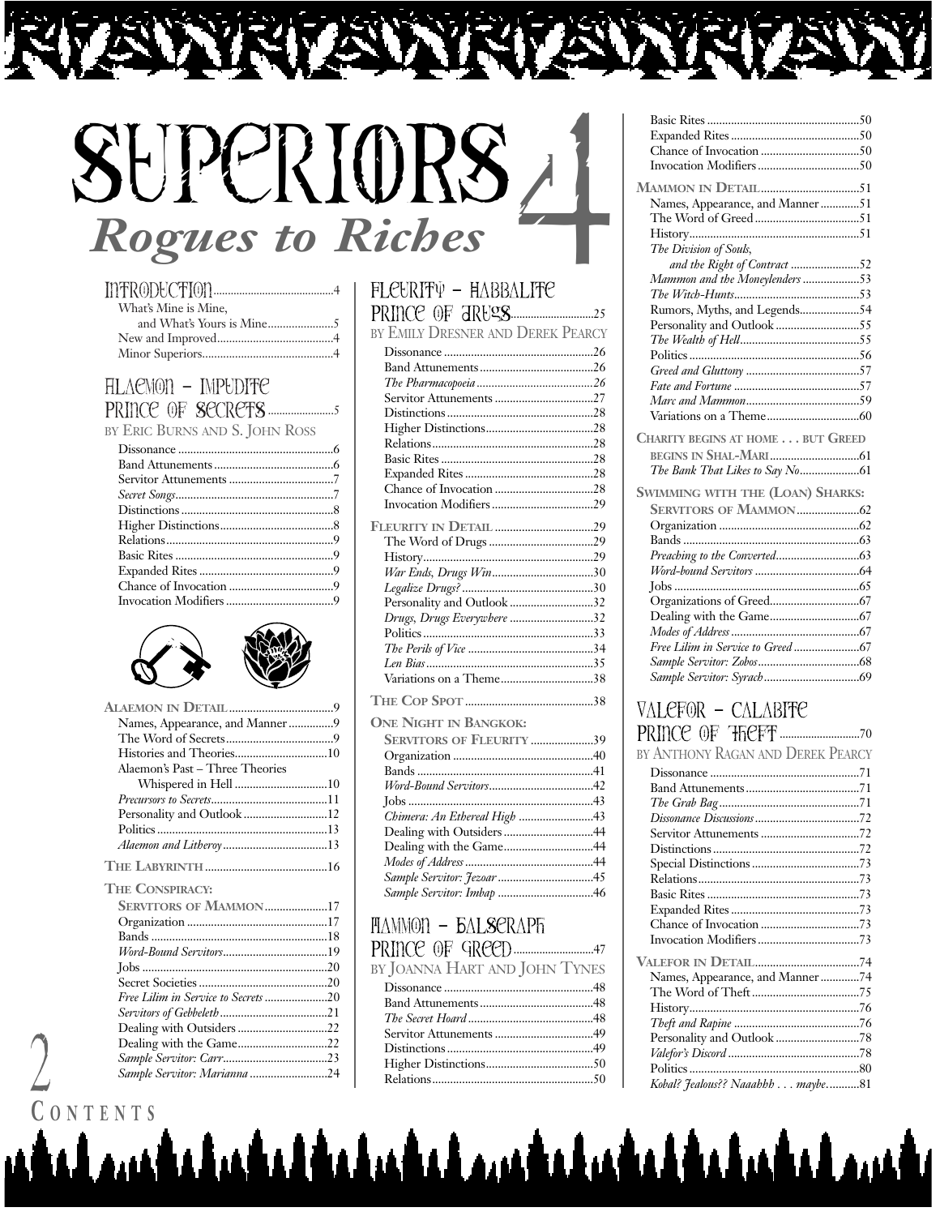# SuperiORS *Rogues to Riches* 4

| What's Mine is Mine, |  |
|----------------------|--|
|                      |  |
|                      |  |
|                      |  |

# Alaemon **–** Impudite Prince of SecretS.......................5

BY ERIC BURNS AND S. JOHN ROSS





| Names, Appearance, and Manner9  |    |
|---------------------------------|----|
|                                 |    |
|                                 |    |
| Alaemon's Past – Three Theories |    |
|                                 |    |
|                                 |    |
| Personality and Outlook 12      |    |
|                                 |    |
|                                 |    |
|                                 |    |
| <b>THE CONSPIRACY:</b>          |    |
| CERUTTORE OF MAARAGAL           | 17 |

| <b>SERVITORS OF MAMMON17</b>        |  |
|-------------------------------------|--|
|                                     |  |
|                                     |  |
|                                     |  |
|                                     |  |
|                                     |  |
| Free Lilim in Service to Secrets 20 |  |
|                                     |  |
|                                     |  |
| Dealing with the Game22             |  |
|                                     |  |
| Sample Servitor: Marianna 24        |  |
|                                     |  |

#### Fleurity **–** Habbalite Prince of DrugS.............................25

| BY EMILY DRESNER AND DEREK PEARCY |  |
|-----------------------------------|--|
|                                   |  |
|                                   |  |
|                                   |  |
|                                   |  |
|                                   |  |
|                                   |  |
|                                   |  |
|                                   |  |
|                                   |  |
|                                   |  |
|                                   |  |
|                                   |  |
|                                   |  |
|                                   |  |
| War Ends, Drugs Win30             |  |
|                                   |  |
| Personality and Outlook 32        |  |
| Drugs, Drugs Everywhere 32        |  |
|                                   |  |
|                                   |  |
|                                   |  |
| Variations on a Theme38           |  |
|                                   |  |
| <b>ONE NIGHT IN BANGKOK:</b>      |  |
| <b>SERVITORS OF FLEURITY 39</b>   |  |
|                                   |  |
|                                   |  |
|                                   |  |

| Chimera: An Ethereal High 43 |  |
|------------------------------|--|
|                              |  |
| Dealing with the Game44      |  |
|                              |  |
|                              |  |
| Sample Servitor: Imbap 46    |  |
|                              |  |

#### Mammon **–** BalSeraph Prince of Greed............................47

BY JOANNA HART AND JOHN TYNES

<u>tahadaldaladal madaladaldaladal mada</u>

#### Basic Rites ...................................................50 Expanded Rites ...........................................50 Chance of Invocation .................................50 Invocation Modifiers ..................................50 **MAMMON IN DETAIL**.................................51 Names, Appearance, and Manner.............51 The Word of Greed...................................51 History.........................................................51 *The Division of Souls, and the Right of Contract* .......................52 *Mammon and the Moneylenders* ...................53 *The Witch-Hunts*..........................................53 Rumors, Myths, and Legends....................54 Personality and Outlook ............................55 *The Wealth of Hell*........................................55 Politics .........................................................56 *Greed and Gluttony* ......................................57 *Fate and Fortune* ..........................................57 *Marc and Mammon*......................................59 Variations on a Theme...............................60 **CHARITY BEGINS AT HOME . . . BUT GREED BEGINS IN SHAL-MARI**..............................61 *The Bank That Likes to Say No*....................61 **SWIMMING WITH THE (LOAN) SHARKS: SERVITORS OF MAMMON**.....................62 Organization ...............................................62 Bands ...........................................................63 *Preaching to the Converted*............................63 *Word-bound Servitors* ...................................64 Jobs ..............................................................65 Organizations of Greed..............................67 Dealing with the Game..............................67 *Modes of Address*...........................................67 *Free Lilim in Service to Greed* ......................67 *Sample Servitor: Zobos*..................................68 *Sample Servitor: Syrach*................................69 Valefor **–** Calabite Prince of Theft............................70 BY ANTHONY RAGAN AND DEREK PEARCY

| BY ANTHONY RAGAN AND DEREK PEARCY |  |
|-----------------------------------|--|
|                                   |  |
|                                   |  |
|                                   |  |
|                                   |  |
|                                   |  |
|                                   |  |
|                                   |  |
|                                   |  |
|                                   |  |
|                                   |  |
|                                   |  |
|                                   |  |
|                                   |  |
| Names, Appearance, and Manner74   |  |
|                                   |  |
|                                   |  |
|                                   |  |
|                                   |  |
|                                   |  |
|                                   |  |
| Kobal? Jealous?? Naaahhh maybe81  |  |

**C ONTENTS**

2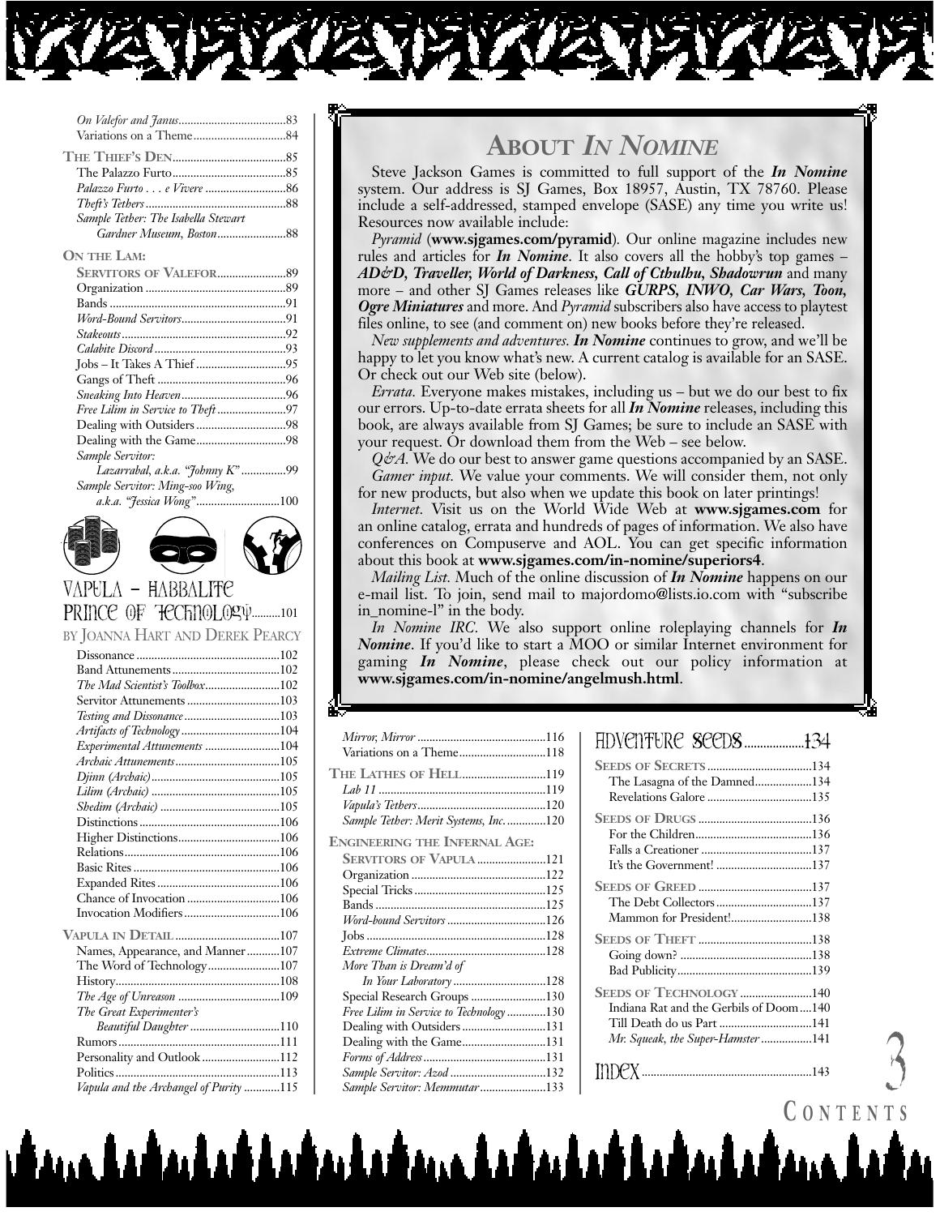

| Sample Tether: The Isabella Stewart |  |
|-------------------------------------|--|
| Gardner Museum, Boston88            |  |
| ON THE LAM:                         |  |
|                                     |  |
|                                     |  |
|                                     |  |
|                                     |  |
|                                     |  |
|                                     |  |
|                                     |  |
|                                     |  |
|                                     |  |
|                                     |  |
|                                     |  |
|                                     |  |
| Sample Servitor:                    |  |
| Lazarrabal, a.k.a. "Johnny K" 99    |  |
| Sample Servitor: Ming-soo Wing,     |  |
| a.k.a. "Jessica Wong"100            |  |
|                                     |  |
|                                     |  |
|                                     |  |

#### Vapula **–** Habbalite PRINCE OF TECTINOLOGY...........101

BY JOANNA HART AND DEREK PEARCY

**ETV** 

| The Mad Scientist's Toolbox102         |  |
|----------------------------------------|--|
|                                        |  |
| Testing and Dissonance103              |  |
| Artifacts of Technology104             |  |
| Experimental Attunements 104           |  |
|                                        |  |
|                                        |  |
|                                        |  |
|                                        |  |
|                                        |  |
|                                        |  |
|                                        |  |
|                                        |  |
|                                        |  |
| Chance of Invocation 106               |  |
| Invocation Modifiers106                |  |
|                                        |  |
| Names, Appearance, and Manner107       |  |
| The Word of Technology107              |  |
|                                        |  |
| The Age of Unreason 109                |  |
| The Great Experimenter's               |  |
| Beautiful Daughter 110                 |  |
|                                        |  |
| Personality and Outlook 112            |  |
| Politics                               |  |
|                                        |  |
| Vapula and the Archangel of Purity 115 |  |

بمانية المقيمة يمشيه وبينة

# **ABOUT** *IN NOMINE*

Steve Jackson Games is committed to full support of the *In Nomine* system. Our address is SJ Games, Box 18957, Austin, TX 78760. Please include a self-addressed, stamped envelope (SASE) any time you write us! Resources now available include:

*Pyramid* (**www.sjgames.com/pyramid**)*.* Our online magazine includes new rules and articles for *In Nomine*. It also covers all the hobby's top games – *AD&D, Traveller, World of Darkness, Call of Cthulhu, Shadowrun* and many more – and other SJ Games releases like *GURPS, INWO, Car Wars, Toon, Ogre Miniatures* and more. And *Pyramid* subscribers also have access to playtest files online, to see (and comment on) new books before they're released.

*New supplements and adventures. In Nomine* continues to grow, and we'll be happy to let you know what's new. A current catalog is available for an SASE. Or check out our Web site (below).

*Errata.* Everyone makes mistakes, including us – but we do our best to fix our errors. Up-to-date errata sheets for all *In Nomine* releases, including this book, are always available from SJ Games; be sure to include an SASE with your request. Or download them from the Web – see below.

*Q&A*. We do our best to answer game questions accompanied by an SASE. *Gamer input.* We value your comments. We will consider them, not only for new products, but also when we update this book on later printings!

*Internet.* Visit us on the World Wide Web at **www.sjgames.com** for an online catalog, errata and hundreds of pages of information. We also have conferences on Compuserve and AOL. You can get specific information about this book at **www.sjgames.com/in-nomine/superiors4**.

*Mailing List.* Much of the online discussion of *In Nomine* happens on our e-mail list. To join, send mail to majordomo@lists.io.com with "subscribe in nomine-l" in the body.

*In Nomine IRC.* We also support online roleplaying channels for *In Nomine*. If you'd like to start a MOO or similar Internet environment for gaming *In Nomine*, please check out our policy information at **www.sjgames.com/in-nomine/angelmush.html**.

ina lahndahada dada

| Variations on a Theme118               |  |
|----------------------------------------|--|
| <b>THE LATHES OF HELL119</b>           |  |
|                                        |  |
|                                        |  |
|                                        |  |
| Sample Tether: Merit Systems, Inc120   |  |
| <b>ENGINEERING THE INFERNAL AGE:</b>   |  |
| <b>SERVITORS OF VAPULA 121</b>         |  |
|                                        |  |
|                                        |  |
|                                        |  |
| Word-bound Servitors 126               |  |
|                                        |  |
|                                        |  |
| More Than is Dream'd of                |  |
| In Your Laboratory 128                 |  |
| Special Research Groups 130            |  |
| Free Lilim in Service to Technology130 |  |
| Dealing with Outsiders 131             |  |
| Dealing with the Game131               |  |
|                                        |  |
| Sample Servitor: Azod 132              |  |
| Sample Servitor: Memmutar133           |  |
|                                        |  |

| HDVENTURE SEEDS134 |  |
|--------------------|--|
|                    |  |

| <b>SEEDS OF SECRETS134</b>             |
|----------------------------------------|
| The Lasagna of the Damned134           |
|                                        |
|                                        |
|                                        |
|                                        |
| It's the Government! 137               |
|                                        |
| The Debt Collectors137                 |
| Mammon for President!138               |
|                                        |
|                                        |
|                                        |
| <b>SEEDS OF TECHNOLOGY 140</b>         |
| Indiana Rat and the Gerbils of Doom140 |
|                                        |
| Mr. Squeak, the Super-Hamster 141      |
|                                        |
| $\text{IDPX}\dots$                     |

CONTENT.

 $\mathcal{A}$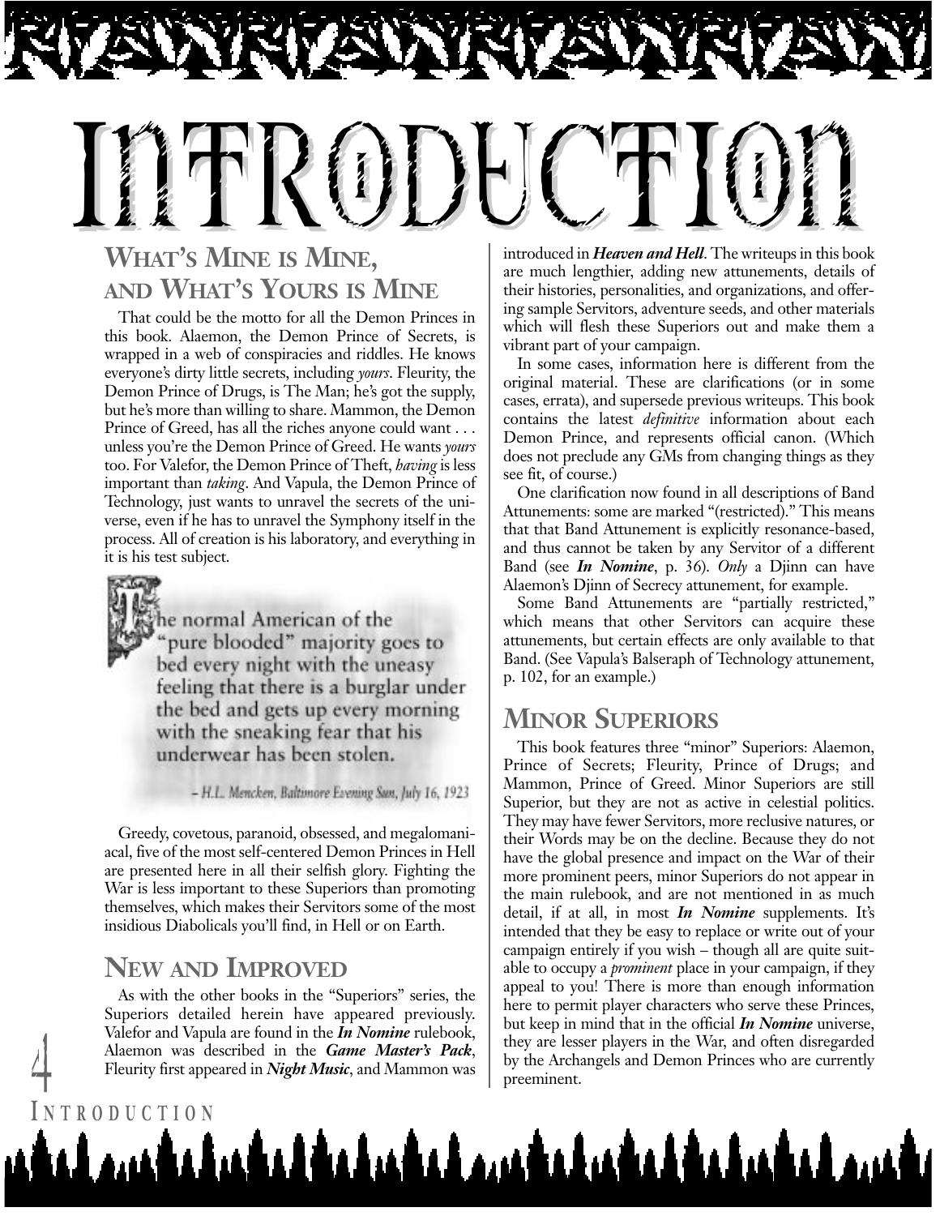# Introduction

# **WHAT'S MINE IS MINE, AND WHAT'S YOURS IS MINE**

That could be the motto for all the Demon Princes in this book. Alaemon, the Demon Prince of Secrets, is wrapped in a web of conspiracies and riddles. He knows everyone's dirty little secrets, including *yours*. Fleurity, the Demon Prince of Drugs, is The Man; he's got the supply, but he's more than willing to share. Mammon, the Demon Prince of Greed, has all the riches anyone could want . . . unless you're the Demon Prince of Greed. He wants *yours* too. For Valefor, the Demon Prince of Theft, *having* is less important than *taking*. And Vapula, the Demon Prince of Technology, just wants to unravel the secrets of the universe, even if he has to unravel the Symphony itself in the process. All of creation is his laboratory, and everything in it is his test subject.

he normal American of the "pure blooded" majority goes to bed every night with the uneasy feeling that there is a burglar under the bed and gets up every morning with the sneaking fear that his underwear has been stolen.

- H.L. Mencken, Baltimore Evening Sun, July 16, 1923

Greedy, covetous, paranoid, obsessed, and megalomaniacal, five of the most self-centered Demon Princes in Hell are presented here in all their selfish glory. Fighting the War is less important to these Superiors than promoting themselves, which makes their Servitors some of the most insidious Diabolicals you'll find, in Hell or on Earth.

#### **NEW AND IMPROVED**

**I NTRODUCTION**

As with the other books in the "Superiors" series, the Superiors detailed herein have appeared previously. Valefor and Vapula are found in the *In Nomine* rulebook, Alaemon was described in the *Game Master's Pack*,

introduced in *Heaven and Hell*. The writeups in this book are much lengthier, adding new attunements, details of their histories, personalities, and organizations, and offering sample Servitors, adventure seeds, and other materials which will flesh these Superiors out and make them a vibrant part of your campaign.

In some cases, information here is different from the original material. These are clarifications (or in some cases, errata), and supersede previous writeups. This book contains the latest *definitive* information about each Demon Prince, and represents official canon. (Which does not preclude any GMs from changing things as they see fit, of course.)

One clarification now found in all descriptions of Band Attunements: some are marked "(restricted)." This means that that Band Attunement is explicitly resonance-based, and thus cannot be taken by any Servitor of a different Band (see *In Nomine*, p. 36). *Only* a Djinn can have Alaemon's Djinn of Secrecy attunement, for example.

Some Band Attunements are "partially restricted," which means that other Servitors can acquire these attunements, but certain effects are only available to that Band. (See Vapula's Balseraph of Technology attunement, p. 102, for an example.)

## **MINOR SUPERIORS**

Fleurity first appeared in *Night Music*, and Mammon was by the Archangels and Demon Princes who are currently preeminent. This book features three "minor" Superiors: Alaemon, Prince of Secrets; Fleurity, Prince of Drugs; and Mammon, Prince of Greed. Minor Superiors are still Superior, but they are not as active in celestial politics. They may have fewer Servitors, more reclusive natures, or their Words may be on the decline. Because they do not have the global presence and impact on the War of their more prominent peers, minor Superiors do not appear in the main rulebook, and are not mentioned in as much detail, if at all, in most *In Nomine* supplements. It's intended that they be easy to replace or write out of your campaign entirely if you wish – though all are quite suitable to occupy a *prominent* place in your campaign, if they appeal to you! There is more than enough information here to permit player characters who serve these Princes, but keep in mind that in the official *In Nomine* universe, they are lesser players in the War, and often disregarded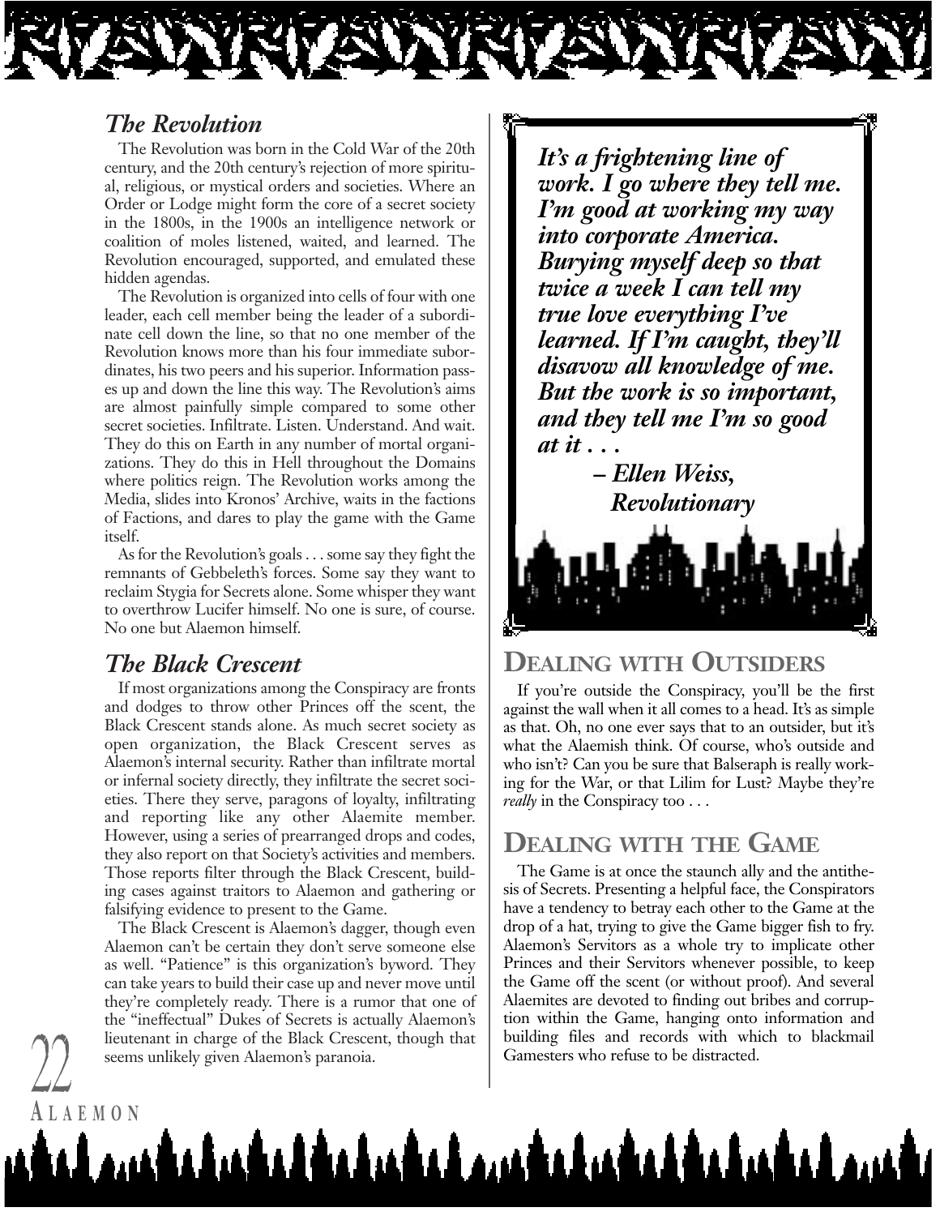

#### *The Revolution*

The Revolution was born in the Cold War of the 20th century, and the 20th century's rejection of more spiritual, religious, or mystical orders and societies. Where an Order or Lodge might form the core of a secret society in the 1800s, in the 1900s an intelligence network or coalition of moles listened, waited, and learned. The Revolution encouraged, supported, and emulated these hidden agendas.

The Revolution is organized into cells of four with one leader, each cell member being the leader of a subordinate cell down the line, so that no one member of the Revolution knows more than his four immediate subordinates, his two peers and his superior. Information passes up and down the line this way. The Revolution's aims are almost painfully simple compared to some other secret societies. Infiltrate. Listen. Understand. And wait. They do this on Earth in any number of mortal organizations. They do this in Hell throughout the Domains where politics reign. The Revolution works among the Media, slides into Kronos' Archive, waits in the factions of Factions, and dares to play the game with the Game itself.

As for the Revolution's goals . . . some say they fight the remnants of Gebbeleth's forces. Some say they want to reclaim Stygia for Secrets alone. Some whisper they want to overthrow Lucifer himself. No one is sure, of course. No one but Alaemon himself.

#### *The Black Crescent*

**A LAEMON**

If most organizations among the Conspiracy are fronts and dodges to throw other Princes off the scent, the Black Crescent stands alone. As much secret society as open organization, the Black Crescent serves as Alaemon's internal security. Rather than infiltrate mortal or infernal society directly, they infiltrate the secret societies. There they serve, paragons of loyalty, infiltrating and reporting like any other Alaemite member. However, using a series of prearranged drops and codes, they also report on that Society's activities and members. Those reports filter through the Black Crescent, building cases against traitors to Alaemon and gathering or falsifying evidence to present to the Game.

The Black Crescent is Alaemon's dagger, though even Alaemon can't be certain they don't serve someone else as well. "Patience" is this organization's byword. They can take years to build their case up and never move until they're completely ready. There is a rumor that one of the "ineffectual" Dukes of Secrets is actually Alaemon's lieutenant in charge of the Black Crescent, though that seems unlikely given Alaemon's paranoia.<br>
Gamesters who refuse to be distracted.

*It's a frightening line of work. I go where they tell me. I'm good at working my way into corporate America. Burying myself deep so that twice a week I can tell my true love everything I've learned. If I'm caught, they'll disavow all knowledge of me. But the work is so important, and they tell me I'm so good at it . . .*

*– Ellen Weiss, Revolutionary*

#### **DEALING WITH OUTSIDERS**

If you're outside the Conspiracy, you'll be the first against the wall when it all comes to a head. It's as simple as that. Oh, no one ever says that to an outsider, but it's what the Alaemish think. Of course, who's outside and who isn't? Can you be sure that Balseraph is really working for the War, or that Lilim for Lust? Maybe they're *really* in the Conspiracy too . . .

#### **DEALING WITH THE GAME**

The Game is at once the staunch ally and the antithesis of Secrets. Presenting a helpful face, the Conspirators have a tendency to betray each other to the Game at the drop of a hat, trying to give the Game bigger fish to fry. Alaemon's Servitors as a whole try to implicate other Princes and their Servitors whenever possible, to keep the Game off the scent (or without proof). And several Alaemites are devoted to finding out bribes and corruption within the Game, hanging onto information and building files and records with which to blackmail